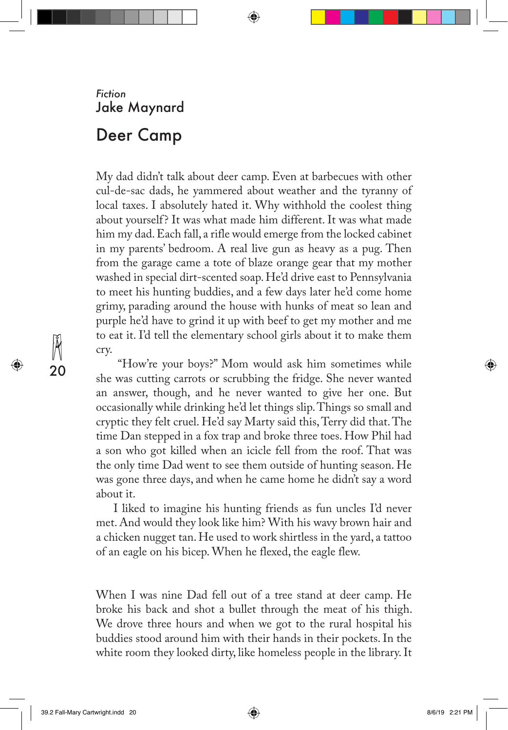## *Fiction* Jake Maynard

## Deer Camp

My dad didn't talk about deer camp. Even at barbecues with other cul-de-sac dads, he yammered about weather and the tyranny of local taxes. I absolutely hated it. Why withhold the coolest thing about yourself? It was what made him different. It was what made him my dad. Each fall, a rifle would emerge from the locked cabinet in my parents' bedroom. A real live gun as heavy as a pug. Then from the garage came a tote of blaze orange gear that my mother washed in special dirt-scented soap. He'd drive east to Pennsylvania to meet his hunting buddies, and a few days later he'd come home grimy, parading around the house with hunks of meat so lean and purple he'd have to grind it up with beef to get my mother and me to eat it. I'd tell the elementary school girls about it to make them cry.

⇔

 "How're your boys?" Mom would ask him sometimes while she was cutting carrots or scrubbing the fridge. She never wanted an answer, though, and he never wanted to give her one. But occasionally while drinking he'd let things slip. Things so small and cryptic they felt cruel. He'd say Marty said this, Terry did that. The time Dan stepped in a fox trap and broke three toes. How Phil had a son who got killed when an icicle fell from the roof. That was the only time Dad went to see them outside of hunting season. He was gone three days, and when he came home he didn't say a word about it.

I liked to imagine his hunting friends as fun uncles I'd never met. And would they look like him? With his wavy brown hair and a chicken nugget tan. He used to work shirtless in the yard, a tattoo of an eagle on his bicep. When he flexed, the eagle flew.

When I was nine Dad fell out of a tree stand at deer camp. He broke his back and shot a bullet through the meat of his thigh. We drove three hours and when we got to the rural hospital his buddies stood around him with their hands in their pockets. In the white room they looked dirty, like homeless people in the library. It

39.2 Fall-Mary Cartwright.indd 20 8/6/19 2:21 PM

20

⇔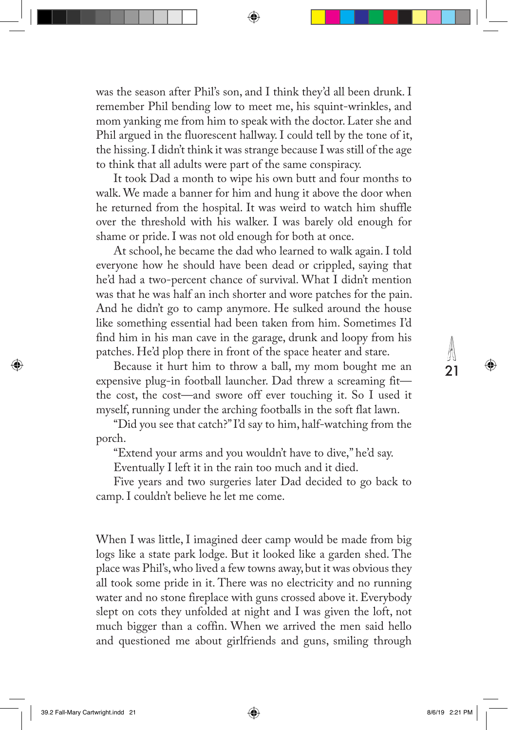was the season after Phil's son, and I think they'd all been drunk. I remember Phil bending low to meet me, his squint-wrinkles, and mom yanking me from him to speak with the doctor. Later she and Phil argued in the fluorescent hallway. I could tell by the tone of it, the hissing. I didn't think it was strange because I was still of the age to think that all adults were part of the same conspiracy.

It took Dad a month to wipe his own butt and four months to walk. We made a banner for him and hung it above the door when he returned from the hospital. It was weird to watch him shuffle over the threshold with his walker. I was barely old enough for shame or pride. I was not old enough for both at once.

At school, he became the dad who learned to walk again. I told everyone how he should have been dead or crippled, saying that he'd had a two-percent chance of survival. What I didn't mention was that he was half an inch shorter and wore patches for the pain. And he didn't go to camp anymore. He sulked around the house like something essential had been taken from him. Sometimes I'd find him in his man cave in the garage, drunk and loopy from his patches. He'd plop there in front of the space heater and stare.

Because it hurt him to throw a ball, my mom bought me an expensive plug-in football launcher. Dad threw a screaming fit the cost, the cost—and swore off ever touching it. So I used it myself, running under the arching footballs in the soft flat lawn.

"Did you see that catch?" I'd say to him, half-watching from the porch.

"Extend your arms and you wouldn't have to dive," he'd say.

Eventually I left it in the rain too much and it died.

Five years and two surgeries later Dad decided to go back to camp. I couldn't believe he let me come.

When I was little, I imagined deer camp would be made from big logs like a state park lodge. But it looked like a garden shed. The place was Phil's, who lived a few towns away, but it was obvious they all took some pride in it. There was no electricity and no running water and no stone fireplace with guns crossed above it. Everybody slept on cots they unfolded at night and I was given the loft, not much bigger than a coffin. When we arrived the men said hello and questioned me about girlfriends and guns, smiling through

39.2 Fall-Mary Cartwright.indd 21 8/6/19 2:21 PM

⊕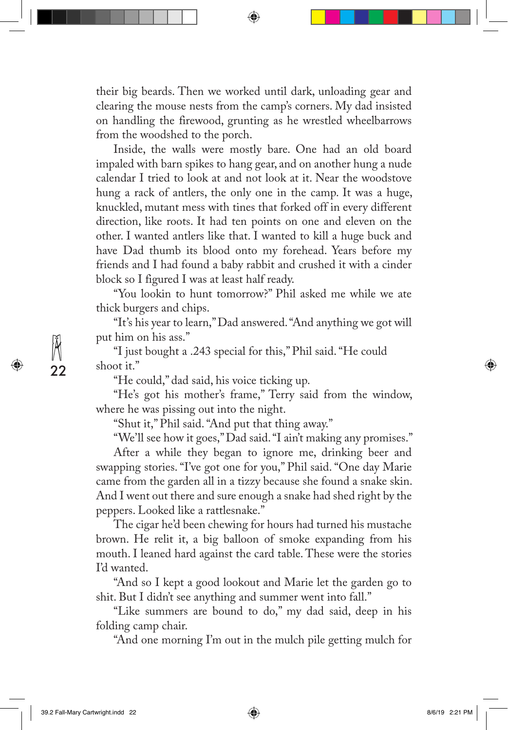their big beards. Then we worked until dark, unloading gear and clearing the mouse nests from the camp's corners. My dad insisted on handling the firewood, grunting as he wrestled wheelbarrows from the woodshed to the porch.

↔

Inside, the walls were mostly bare. One had an old board impaled with barn spikes to hang gear, and on another hung a nude calendar I tried to look at and not look at it. Near the woodstove hung a rack of antlers, the only one in the camp. It was a huge, knuckled, mutant mess with tines that forked off in every different direction, like roots. It had ten points on one and eleven on the other. I wanted antlers like that. I wanted to kill a huge buck and have Dad thumb its blood onto my forehead. Years before my friends and I had found a baby rabbit and crushed it with a cinder block so I figured I was at least half ready.

"You lookin to hunt tomorrow?" Phil asked me while we ate thick burgers and chips.

"It's his year to learn," Dad answered. "And anything we got will put him on his ass."

"I just bought a .243 special for this," Phil said. "He could shoot it."

"He could," dad said, his voice ticking up.

"He's got his mother's frame," Terry said from the window, where he was pissing out into the night.

"Shut it," Phil said. "And put that thing away."

"We'll see how it goes," Dad said. "I ain't making any promises." After a while they began to ignore me, drinking beer and swapping stories. "I've got one for you," Phil said. "One day Marie came from the garden all in a tizzy because she found a snake skin. And I went out there and sure enough a snake had shed right by the

peppers. Looked like a rattlesnake."

The cigar he'd been chewing for hours had turned his mustache brown. He relit it, a big balloon of smoke expanding from his mouth. I leaned hard against the card table. These were the stories I'd wanted.

"And so I kept a good lookout and Marie let the garden go to shit. But I didn't see anything and summer went into fall."

"Like summers are bound to do," my dad said, deep in his folding camp chair.

"And one morning I'm out in the mulch pile getting mulch for

39.2 Fall-Mary Cartwright.indd 22 8/6/19 2:21 PM

22

⊕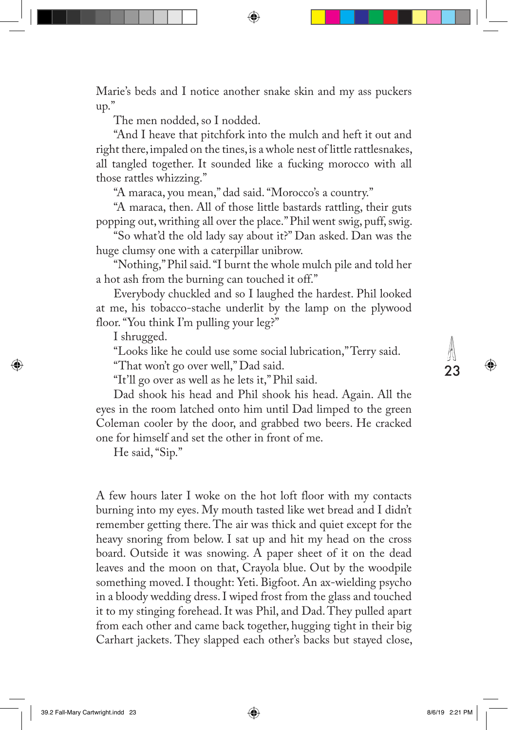Marie's beds and I notice another snake skin and my ass puckers up."

The men nodded, so I nodded.

"And I heave that pitchfork into the mulch and heft it out and right there, impaled on the tines, is a whole nest of little rattlesnakes, all tangled together. It sounded like a fucking morocco with all those rattles whizzing."

"A maraca, you mean," dad said. "Morocco's a country."

"A maraca, then. All of those little bastards rattling, their guts popping out, writhing all over the place." Phil went swig, puff, swig.

"So what'd the old lady say about it?" Dan asked. Dan was the huge clumsy one with a caterpillar unibrow.

"Nothing," Phil said. "I burnt the whole mulch pile and told her a hot ash from the burning can touched it off."

Everybody chuckled and so I laughed the hardest. Phil looked at me, his tobacco-stache underlit by the lamp on the plywood floor. "You think I'm pulling your leg?"

I shrugged.

⊕

"Looks like he could use some social lubrication," Terry said. "That won't go over well," Dad said.

"It'll go over as well as he lets it," Phil said.

Dad shook his head and Phil shook his head. Again. All the eyes in the room latched onto him until Dad limped to the green Coleman cooler by the door, and grabbed two beers. He cracked one for himself and set the other in front of me.

He said, "Sip."

A few hours later I woke on the hot loft floor with my contacts burning into my eyes. My mouth tasted like wet bread and I didn't remember getting there. The air was thick and quiet except for the heavy snoring from below. I sat up and hit my head on the cross board. Outside it was snowing. A paper sheet of it on the dead leaves and the moon on that, Crayola blue. Out by the woodpile something moved. I thought: Yeti. Bigfoot. An ax-wielding psycho in a bloody wedding dress. I wiped frost from the glass and touched it to my stinging forehead. It was Phil, and Dad. They pulled apart from each other and came back together, hugging tight in their big Carhart jackets. They slapped each other's backs but stayed close,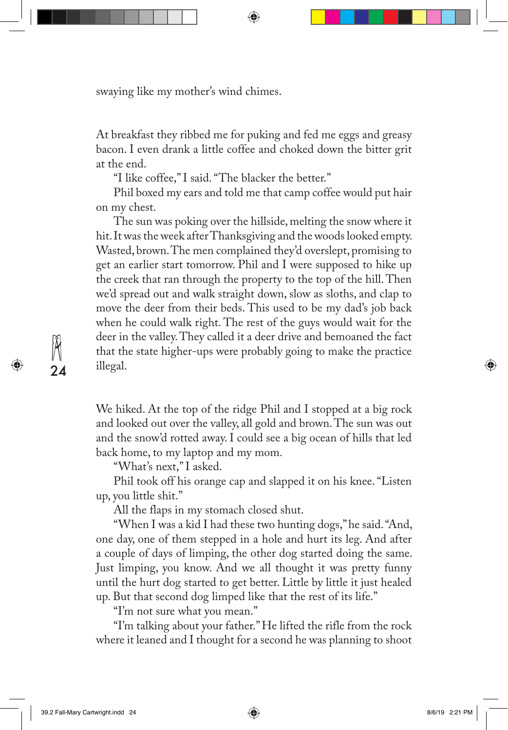swaying like my mother's wind chimes.

At breakfast they ribbed me for puking and fed me eggs and greasy bacon. I even drank a little coffee and choked down the bitter grit at the end.

⇔

"I like coffee," I said. "The blacker the better."

Phil boxed my ears and told me that camp coffee would put hair on my chest.

The sun was poking over the hillside, melting the snow where it hit. It was the week after Thanksgiving and the woods looked empty. Wasted, brown. The men complained they'd overslept, promising to get an earlier start tomorrow. Phil and I were supposed to hike up the creek that ran through the property to the top of the hill. Then we'd spread out and walk straight down, slow as sloths, and clap to move the deer from their beds. This used to be my dad's job back when he could walk right. The rest of the guys would wait for the deer in the valley. They called it a deer drive and bemoaned the fact that the state higher-ups were probably going to make the practice illegal.

We hiked. At the top of the ridge Phil and I stopped at a big rock and looked out over the valley, all gold and brown. The sun was out and the snow'd rotted away. I could see a big ocean of hills that led back home, to my laptop and my mom.

"What's next," I asked.

Phil took off his orange cap and slapped it on his knee. "Listen up, you little shit."

All the flaps in my stomach closed shut.

"When I was a kid I had these two hunting dogs," he said. "And, one day, one of them stepped in a hole and hurt its leg. And after a couple of days of limping, the other dog started doing the same. Just limping, you know. And we all thought it was pretty funny until the hurt dog started to get better. Little by little it just healed up. But that second dog limped like that the rest of its life."

"I'm not sure what you mean."

"I'm talking about your father." He lifted the rifle from the rock where it leaned and I thought for a second he was planning to shoot

39.2 Fall-Mary Cartwright.indd 24 8/6/19 2:21 PM

24

⊕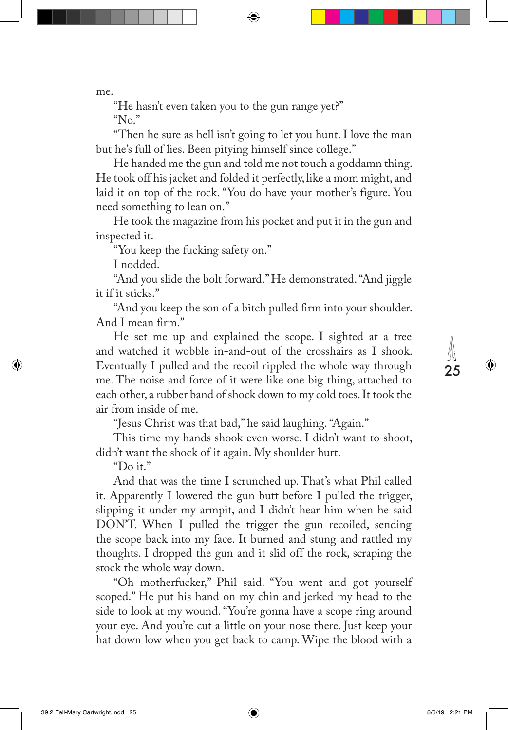me.

"He hasn't even taken you to the gun range yet?"

"No."

"Then he sure as hell isn't going to let you hunt. I love the man but he's full of lies. Been pitying himself since college."

↔

He handed me the gun and told me not touch a goddamn thing. He took off his jacket and folded it perfectly, like a mom might, and laid it on top of the rock. "You do have your mother's figure. You need something to lean on."

He took the magazine from his pocket and put it in the gun and inspected it.

"You keep the fucking safety on."

I nodded.

"And you slide the bolt forward." He demonstrated. "And jiggle it if it sticks."

"And you keep the son of a bitch pulled firm into your shoulder. And I mean firm."

He set me up and explained the scope. I sighted at a tree and watched it wobble in-and-out of the crosshairs as I shook. Eventually I pulled and the recoil rippled the whole way through me. The noise and force of it were like one big thing, attached to each other, a rubber band of shock down to my cold toes. It took the air from inside of me.

"Jesus Christ was that bad," he said laughing. "Again."

This time my hands shook even worse. I didn't want to shoot, didn't want the shock of it again. My shoulder hurt.

"Do it."

⊕

And that was the time I scrunched up. That's what Phil called it. Apparently I lowered the gun butt before I pulled the trigger, slipping it under my armpit, and I didn't hear him when he said DON'T. When I pulled the trigger the gun recoiled, sending the scope back into my face. It burned and stung and rattled my thoughts. I dropped the gun and it slid off the rock, scraping the stock the whole way down.

"Oh motherfucker," Phil said. "You went and got yourself scoped." He put his hand on my chin and jerked my head to the side to look at my wound. "You're gonna have a scope ring around your eye. And you're cut a little on your nose there. Just keep your hat down low when you get back to camp. Wipe the blood with a

39.2 Fall-Mary Cartwright.indd 25 8/6/19 2:21 PM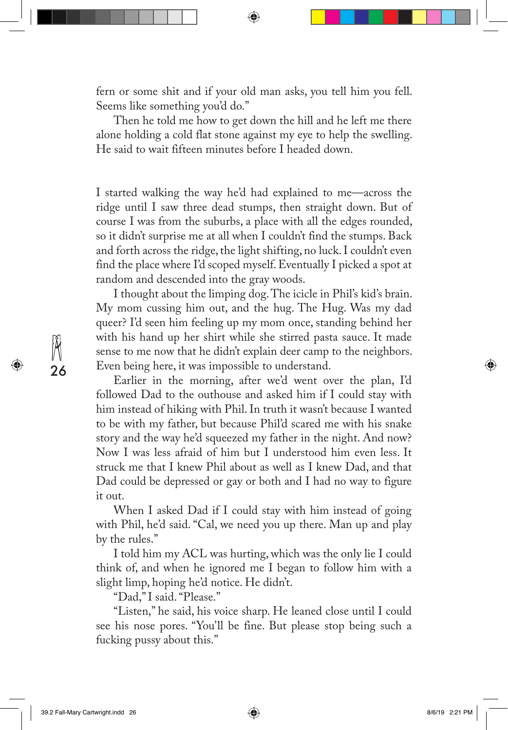fern or some shit and if your old man asks, you tell him you fell. Seems like something you'd do."

⊕

Then he told me how to get down the hill and he left me there alone holding a cold flat stone against my eye to help the swelling. He said to wait fifteen minutes before I headed down.

I started walking the way he'd had explained to me—across the ridge until I saw three dead stumps, then straight down. But of course I was from the suburbs, a place with all the edges rounded, so it didn't surprise me at all when I couldn't find the stumps. Back and forth across the ridge, the light shifting, no luck. I couldn't even find the place where I'd scoped myself. Eventually I picked a spot at random and descended into the gray woods.

I thought about the limping dog. The icicle in Phil's kid's brain. My mom cussing him out, and the hug. The Hug. Was my dad queer? I'd seen him feeling up my mom once, standing behind her with his hand up her shirt while she stirred pasta sauce. It made sense to me now that he didn't explain deer camp to the neighbors. Even being here, it was impossible to understand.

Earlier in the morning, after we'd went over the plan, I'd followed Dad to the outhouse and asked him if I could stay with him instead of hiking with Phil. In truth it wasn't because I wanted to be with my father, but because Phil'd scared me with his snake story and the way he'd squeezed my father in the night. And now? Now I was less afraid of him but I understood him even less. It struck me that I knew Phil about as well as I knew Dad, and that Dad could be depressed or gay or both and I had no way to figure it out.

When I asked Dad if I could stay with him instead of going with Phil, he'd said. "Cal, we need you up there. Man up and play by the rules."

I told him my ACL was hurting, which was the only lie I could think of, and when he ignored me I began to follow him with a slight limp, hoping he'd notice. He didn't.

"Dad," I said. "Please."

"Listen," he said, his voice sharp. He leaned close until I could see his nose pores. "You'll be fine. But please stop being such a fucking pussy about this."

39.2 Fall-Mary Cartwright.indd 26 8/6/19 2:21 PM

26

⇔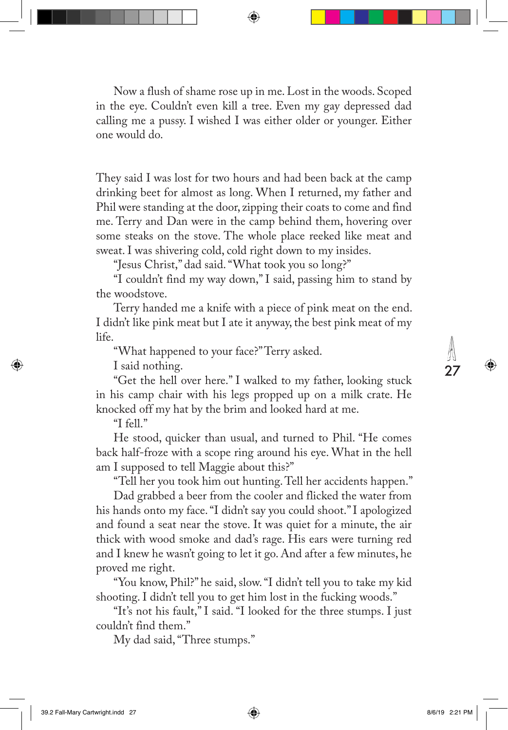Now a flush of shame rose up in me. Lost in the woods. Scoped in the eye. Couldn't even kill a tree. Even my gay depressed dad calling me a pussy. I wished I was either older or younger. Either one would do.

↔

They said I was lost for two hours and had been back at the camp drinking beet for almost as long. When I returned, my father and Phil were standing at the door, zipping their coats to come and find me. Terry and Dan were in the camp behind them, hovering over some steaks on the stove. The whole place reeked like meat and sweat. I was shivering cold, cold right down to my insides.

"Jesus Christ," dad said. "What took you so long?"

"I couldn't find my way down," I said, passing him to stand by the woodstove.

Terry handed me a knife with a piece of pink meat on the end. I didn't like pink meat but I ate it anyway, the best pink meat of my life.

"What happened to your face?" Terry asked.

I said nothing.

"Get the hell over here." I walked to my father, looking stuck in his camp chair with his legs propped up on a milk crate. He knocked off my hat by the brim and looked hard at me.

"I fell."

↔

He stood, quicker than usual, and turned to Phil. "He comes back half-froze with a scope ring around his eye. What in the hell am I supposed to tell Maggie about this?"

"Tell her you took him out hunting. Tell her accidents happen."

Dad grabbed a beer from the cooler and flicked the water from his hands onto my face. "I didn't say you could shoot." I apologized and found a seat near the stove. It was quiet for a minute, the air thick with wood smoke and dad's rage. His ears were turning red and I knew he wasn't going to let it go. And after a few minutes, he proved me right.

"You know, Phil?" he said, slow. "I didn't tell you to take my kid shooting. I didn't tell you to get him lost in the fucking woods."

"It's not his fault," I said. "I looked for the three stumps. I just couldn't find them."

My dad said, "Three stumps."

39.2 Fall-Mary Cartwright.indd 27 8/6/19 2:21 PM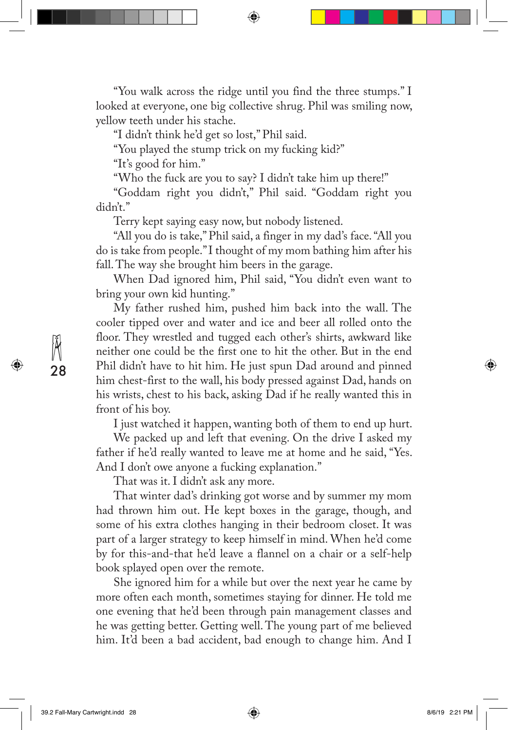"You walk across the ridge until you find the three stumps." I looked at everyone, one big collective shrug. Phil was smiling now, yellow teeth under his stache.

↔

"I didn't think he'd get so lost," Phil said.

"You played the stump trick on my fucking kid?"

"It's good for him."

"Who the fuck are you to say? I didn't take him up there!"

"Goddam right you didn't," Phil said. "Goddam right you didn't."

Terry kept saying easy now, but nobody listened.

"All you do is take," Phil said, a finger in my dad's face. "All you do is take from people." I thought of my mom bathing him after his fall. The way she brought him beers in the garage.

When Dad ignored him, Phil said, "You didn't even want to bring your own kid hunting."

My father rushed him, pushed him back into the wall. The cooler tipped over and water and ice and beer all rolled onto the floor. They wrestled and tugged each other's shirts, awkward like neither one could be the first one to hit the other. But in the end Phil didn't have to hit him. He just spun Dad around and pinned him chest-first to the wall, his body pressed against Dad, hands on his wrists, chest to his back, asking Dad if he really wanted this in front of his boy.

I just watched it happen, wanting both of them to end up hurt.

We packed up and left that evening. On the drive I asked my father if he'd really wanted to leave me at home and he said, "Yes. And I don't owe anyone a fucking explanation."

That was it. I didn't ask any more.

That winter dad's drinking got worse and by summer my mom had thrown him out. He kept boxes in the garage, though, and some of his extra clothes hanging in their bedroom closet. It was part of a larger strategy to keep himself in mind. When he'd come by for this-and-that he'd leave a flannel on a chair or a self-help book splayed open over the remote.

She ignored him for a while but over the next year he came by more often each month, sometimes staying for dinner. He told me one evening that he'd been through pain management classes and he was getting better. Getting well. The young part of me believed him. It'd been a bad accident, bad enough to change him. And I

39.2 Fall-Mary Cartwright.indd 28 8/6/19 2:21 PM

28

⇔